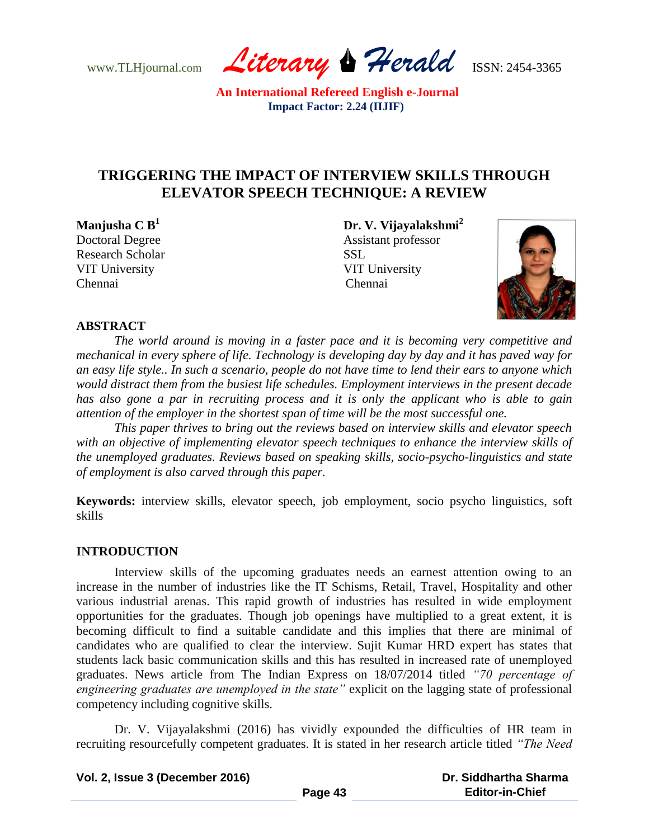www.TLHjournal.com *Literary Herald*ISSN: 2454-3365

# **TRIGGERING THE IMPACT OF INTERVIEW SKILLS THROUGH ELEVATOR SPEECH TECHNIQUE: A REVIEW**

Research Scholar SSL VIT University VIT University Chennai

**Manjusha C B<sup>1</sup>Dr. V. Vijayalakshmi<sup>2</sup>** Doctoral Degree Assistant professor Chennai



# **ABSTRACT**

*The world around is moving in a faster pace and it is becoming very competitive and mechanical in every sphere of life. Technology is developing day by day and it has paved way for an easy life style.. In such a scenario, people do not have time to lend their ears to anyone which would distract them from the busiest life schedules. Employment interviews in the present decade has also gone a par in recruiting process and it is only the applicant who is able to gain attention of the employer in the shortest span of time will be the most successful one.* 

*This paper thrives to bring out the reviews based on interview skills and elevator speech with an objective of implementing elevator speech techniques to enhance the interview skills of the unemployed graduates. Reviews based on speaking skills, socio-psycho-linguistics and state of employment is also carved through this paper.*

**Keywords:** interview skills, elevator speech, job employment, socio psycho linguistics, soft skills

# **INTRODUCTION**

Interview skills of the upcoming graduates needs an earnest attention owing to an increase in the number of industries like the IT Schisms, Retail, Travel, Hospitality and other various industrial arenas. This rapid growth of industries has resulted in wide employment opportunities for the graduates. Though job openings have multiplied to a great extent, it is becoming difficult to find a suitable candidate and this implies that there are minimal of candidates who are qualified to clear the interview. Sujit Kumar HRD expert has states that students lack basic communication skills and this has resulted in increased rate of unemployed graduates. News article from The Indian Express on 18/07/2014 titled *"70 percentage of engineering graduates are unemployed in the state"* explicit on the lagging state of professional competency including cognitive skills.

Dr. V. Vijayalakshmi (2016) has vividly expounded the difficulties of HR team in recruiting resourcefully competent graduates. It is stated in her research article titled *"The Need* 

| Vol. 2, Issue 3 (December 2016) |         | Dr. Siddhartha Sharma  |
|---------------------------------|---------|------------------------|
|                                 | Page 43 | <b>Editor-in-Chief</b> |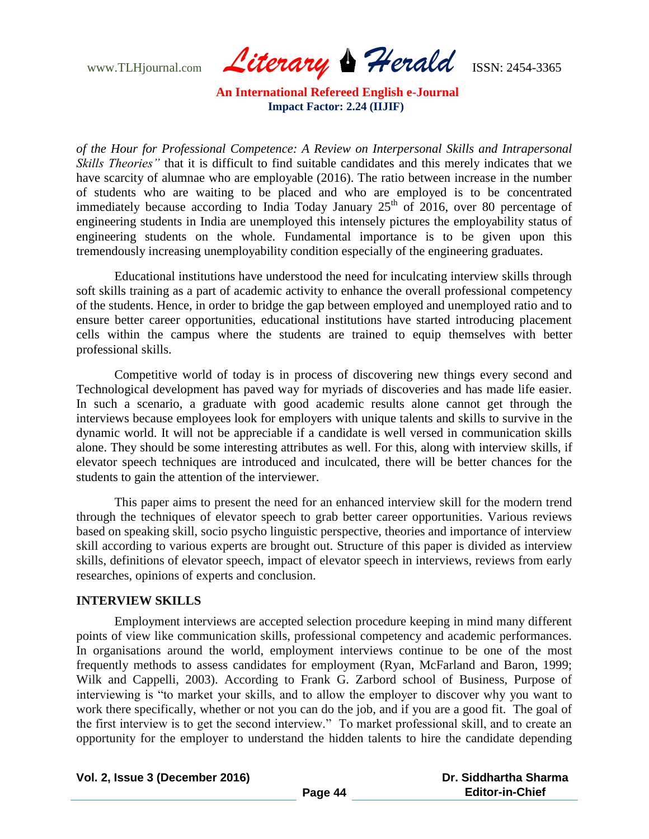www.TLHjournal.com *Literary Herald*ISSN: 2454-3365

*of the Hour for Professional Competence: A Review on Interpersonal Skills and Intrapersonal Skills Theories*" that it is difficult to find suitable candidates and this merely indicates that we have scarcity of alumnae who are employable (2016). The ratio between increase in the number of students who are waiting to be placed and who are employed is to be concentrated immediately because according to India Today January  $25<sup>th</sup>$  of 2016, over 80 percentage of engineering students in India are unemployed this intensely pictures the employability status of engineering students on the whole. Fundamental importance is to be given upon this tremendously increasing unemployability condition especially of the engineering graduates.

Educational institutions have understood the need for inculcating interview skills through soft skills training as a part of academic activity to enhance the overall professional competency of the students. Hence, in order to bridge the gap between employed and unemployed ratio and to ensure better career opportunities, educational institutions have started introducing placement cells within the campus where the students are trained to equip themselves with better professional skills.

Competitive world of today is in process of discovering new things every second and Technological development has paved way for myriads of discoveries and has made life easier. In such a scenario, a graduate with good academic results alone cannot get through the interviews because employees look for employers with unique talents and skills to survive in the dynamic world. It will not be appreciable if a candidate is well versed in communication skills alone. They should be some interesting attributes as well. For this, along with interview skills, if elevator speech techniques are introduced and inculcated, there will be better chances for the students to gain the attention of the interviewer.

This paper aims to present the need for an enhanced interview skill for the modern trend through the techniques of elevator speech to grab better career opportunities. Various reviews based on speaking skill, socio psycho linguistic perspective, theories and importance of interview skill according to various experts are brought out. Structure of this paper is divided as interview skills, definitions of elevator speech, impact of elevator speech in interviews, reviews from early researches, opinions of experts and conclusion.

### **INTERVIEW SKILLS**

Employment interviews are accepted selection procedure keeping in mind many different points of view like communication skills, professional competency and academic performances. In organisations around the world, employment interviews continue to be one of the most frequently methods to assess candidates for employment (Ryan, McFarland and Baron, 1999; Wilk and Cappelli, 2003). According to Frank G. Zarbord school of Business, Purpose of interviewing is "to market your skills, and to allow the employer to discover why you want to work there specifically, whether or not you can do the job, and if you are a good fit. The goal of the first interview is to get the second interview." To market professional skill, and to create an opportunity for the employer to understand the hidden talents to hire the candidate depending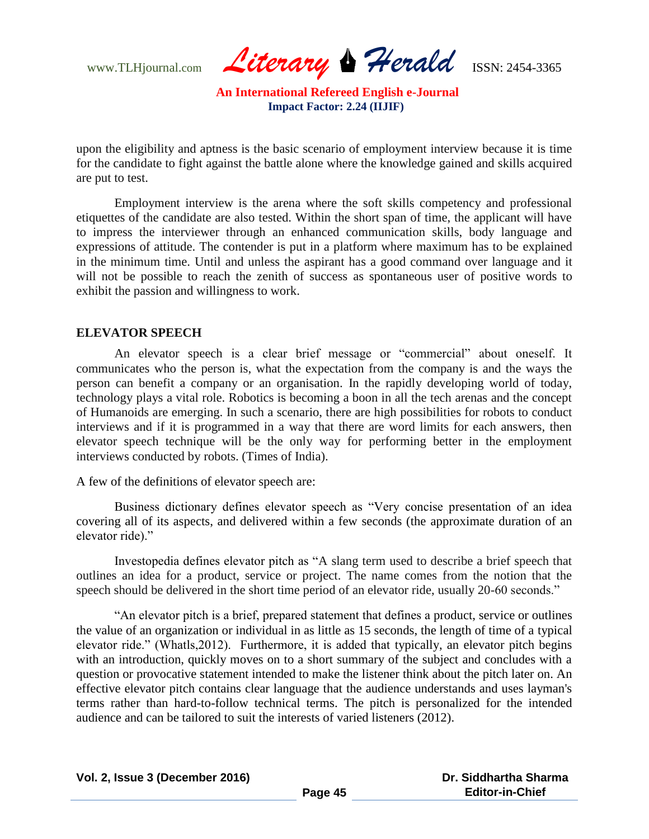www.TLHjournal.com *Literary Herald*ISSN: 2454-3365

upon the eligibility and aptness is the basic scenario of employment interview because it is time for the candidate to fight against the battle alone where the knowledge gained and skills acquired are put to test.

Employment interview is the arena where the soft skills competency and professional etiquettes of the candidate are also tested. Within the short span of time, the applicant will have to impress the interviewer through an enhanced communication skills, body language and expressions of attitude. The contender is put in a platform where maximum has to be explained in the minimum time. Until and unless the aspirant has a good command over language and it will not be possible to reach the zenith of success as spontaneous user of positive words to exhibit the passion and willingness to work.

### **ELEVATOR SPEECH**

An elevator speech is a clear brief message or "commercial" about oneself. It communicates who the person is, what the expectation from the company is and the ways the person can benefit a company or an organisation. In the rapidly developing world of today, technology plays a vital role. Robotics is becoming a boon in all the tech arenas and the concept of Humanoids are emerging. In such a scenario, there are high possibilities for robots to conduct interviews and if it is programmed in a way that there are word limits for each answers, then elevator speech technique will be the only way for performing better in the employment interviews conducted by robots. (Times of India).

A few of the definitions of elevator speech are:

Business dictionary defines elevator speech as "Very concise presentation of an idea covering all of its aspects, and delivered within a few seconds (the approximate duration of an elevator ride)."

Investopedia defines elevator pitch as "A slang term used to describe a brief speech that outlines an idea for a product, service or project. The name comes from the notion that the speech should be delivered in the short time period of an elevator ride, usually 20-60 seconds."

"An elevator pitch is a brief, prepared statement that defines a product, service or outlines the value of an organization or individual in as little as 15 seconds, the length of time of a typical elevator ride." (Whatls,2012). Furthermore, it is added that typically, an elevator pitch begins with an introduction, quickly moves on to a short summary of the subject and concludes with a question or provocative statement intended to make the listener think about the pitch later on. An effective elevator pitch contains clear language that the audience understands and uses layman's terms rather than hard-to-follow technical terms. The pitch is personalized for the intended audience and can be tailored to suit the interests of varied listeners (2012).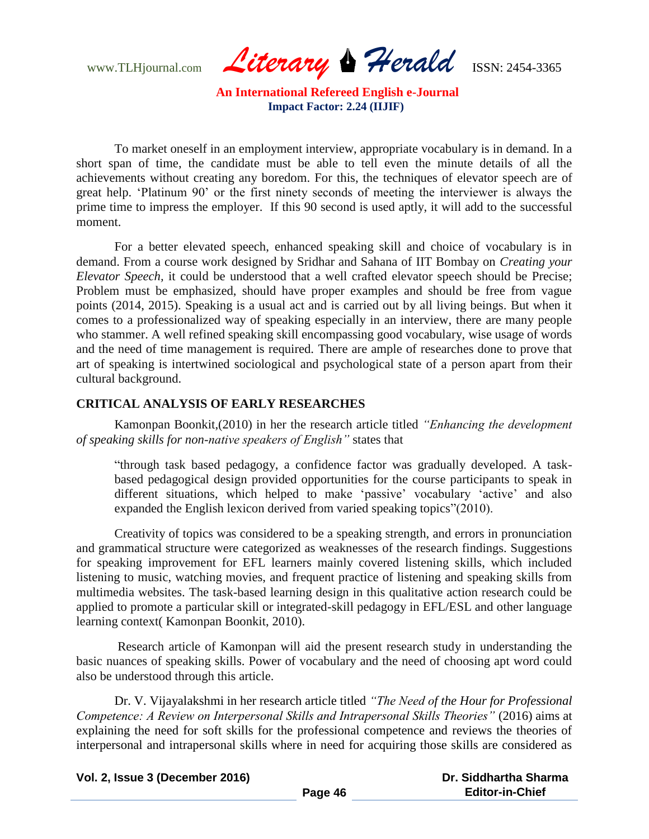www.TLHjournal.com *Literary Herald*ISSN: 2454-3365

To market oneself in an employment interview, appropriate vocabulary is in demand. In a short span of time, the candidate must be able to tell even the minute details of all the achievements without creating any boredom. For this, the techniques of elevator speech are of great help. "Platinum 90" or the first ninety seconds of meeting the interviewer is always the prime time to impress the employer. If this 90 second is used aptly, it will add to the successful moment.

For a better elevated speech, enhanced speaking skill and choice of vocabulary is in demand. From a course work designed by Sridhar and Sahana of IIT Bombay on *Creating your Elevator Speech,* it could be understood that a well crafted elevator speech should be Precise; Problem must be emphasized, should have proper examples and should be free from vague points (2014, 2015). Speaking is a usual act and is carried out by all living beings. But when it comes to a professionalized way of speaking especially in an interview, there are many people who stammer. A well refined speaking skill encompassing good vocabulary, wise usage of words and the need of time management is required. There are ample of researches done to prove that art of speaking is intertwined sociological and psychological state of a person apart from their cultural background.

### **CRITICAL ANALYSIS OF EARLY RESEARCHES**

Kamonpan Boonkit,(2010) in her the research article titled *"Enhancing the development of speaking skills for non-native speakers of English"* states that

"through task based pedagogy, a confidence factor was gradually developed. A taskbased pedagogical design provided opportunities for the course participants to speak in different situations, which helped to make 'passive' vocabulary 'active' and also expanded the English lexicon derived from varied speaking topics"(2010).

Creativity of topics was considered to be a speaking strength, and errors in pronunciation and grammatical structure were categorized as weaknesses of the research findings. Suggestions for speaking improvement for EFL learners mainly covered listening skills, which included listening to music, watching movies, and frequent practice of listening and speaking skills from multimedia websites. The task-based learning design in this qualitative action research could be applied to promote a particular skill or integrated-skill pedagogy in EFL/ESL and other language learning context( Kamonpan Boonkit, 2010).

Research article of Kamonpan will aid the present research study in understanding the basic nuances of speaking skills. Power of vocabulary and the need of choosing apt word could also be understood through this article.

Dr. V. Vijayalakshmi in her research article titled *"The Need of the Hour for Professional Competence: A Review on Interpersonal Skills and Intrapersonal Skills Theories"* (2016) aims at explaining the need for soft skills for the professional competence and reviews the theories of interpersonal and intrapersonal skills where in need for acquiring those skills are considered as

**Vol. 2, Issue 3 (December 2016) Page 46 Dr. Siddhartha Sharma Editor-in-Chief**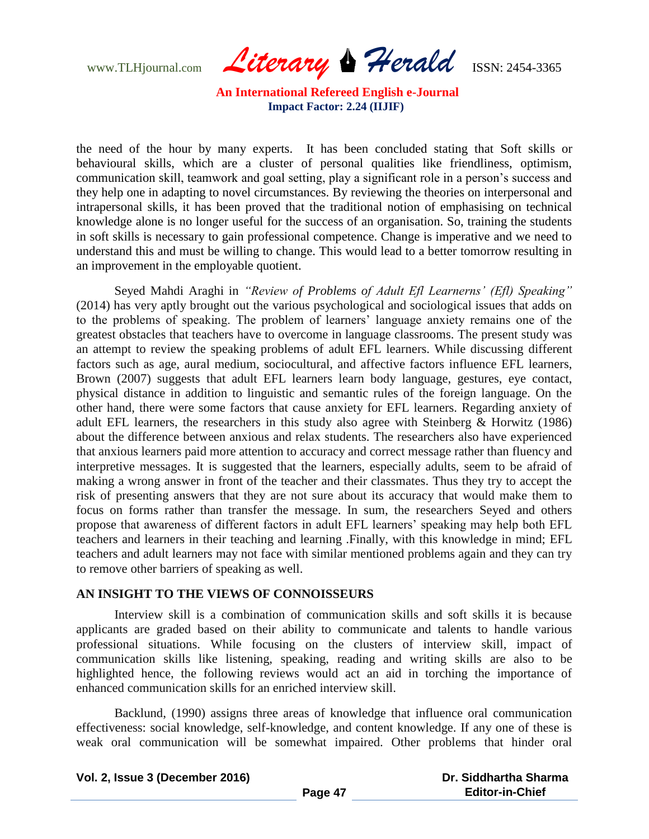www.TLHjournal.com *Literary Herald*ISSN: 2454-3365

the need of the hour by many experts. It has been concluded stating that Soft skills or behavioural skills, which are a cluster of personal qualities like friendliness, optimism, communication skill, teamwork and goal setting, play a significant role in a person"s success and they help one in adapting to novel circumstances. By reviewing the theories on interpersonal and intrapersonal skills, it has been proved that the traditional notion of emphasising on technical knowledge alone is no longer useful for the success of an organisation. So, training the students in soft skills is necessary to gain professional competence. Change is imperative and we need to understand this and must be willing to change. This would lead to a better tomorrow resulting in an improvement in the employable quotient.

Seyed Mahdi Araghi in *"Review of Problems of Adult Efl Learnerns' (Efl) Speaking"*  (2014) has very aptly brought out the various psychological and sociological issues that adds on to the problems of speaking. The problem of learners' language anxiety remains one of the greatest obstacles that teachers have to overcome in language classrooms. The present study was an attempt to review the speaking problems of adult EFL learners. While discussing different factors such as age, aural medium, sociocultural, and affective factors influence EFL learners, Brown (2007) suggests that adult EFL learners learn body language, gestures, eye contact, physical distance in addition to linguistic and semantic rules of the foreign language. On the other hand, there were some factors that cause anxiety for EFL learners. Regarding anxiety of adult EFL learners, the researchers in this study also agree with Steinberg & Horwitz (1986) about the difference between anxious and relax students. The researchers also have experienced that anxious learners paid more attention to accuracy and correct message rather than fluency and interpretive messages. It is suggested that the learners, especially adults, seem to be afraid of making a wrong answer in front of the teacher and their classmates. Thus they try to accept the risk of presenting answers that they are not sure about its accuracy that would make them to focus on forms rather than transfer the message. In sum, the researchers Seyed and others propose that awareness of different factors in adult EFL learners" speaking may help both EFL teachers and learners in their teaching and learning .Finally, with this knowledge in mind; EFL teachers and adult learners may not face with similar mentioned problems again and they can try to remove other barriers of speaking as well.

# **AN INSIGHT TO THE VIEWS OF CONNOISSEURS**

Interview skill is a combination of communication skills and soft skills it is because applicants are graded based on their ability to communicate and talents to handle various professional situations. While focusing on the clusters of interview skill, impact of communication skills like listening, speaking, reading and writing skills are also to be highlighted hence, the following reviews would act an aid in torching the importance of enhanced communication skills for an enriched interview skill.

Backlund, (1990) assigns three areas of knowledge that influence oral communication effectiveness: social knowledge, self-knowledge, and content knowledge. If any one of these is weak oral communication will be somewhat impaired. Other problems that hinder oral

**Vol. 2, Issue 3 (December 2016)**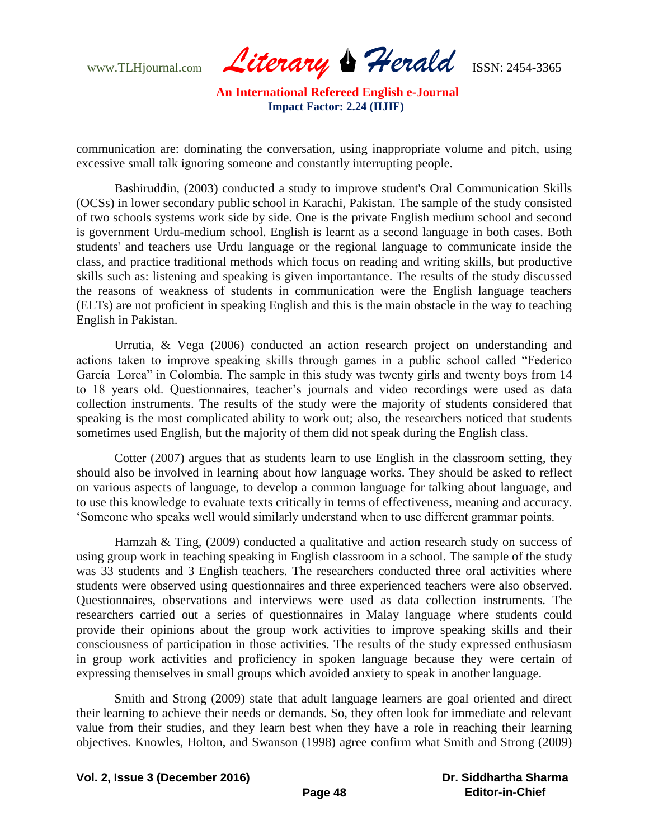www.TLHjournal.com *Literary Herald*ISSN: 2454-3365

communication are: dominating the conversation, using inappropriate volume and pitch, using excessive small talk ignoring someone and constantly interrupting people.

Bashiruddin, (2003) conducted a study to improve student's Oral Communication Skills (OCSs) in lower secondary public school in Karachi, Pakistan. The sample of the study consisted of two schools systems work side by side. One is the private English medium school and second is government Urdu-medium school. English is learnt as a second language in both cases. Both students' and teachers use Urdu language or the regional language to communicate inside the class, and practice traditional methods which focus on reading and writing skills, but productive skills such as: listening and speaking is given importantance. The results of the study discussed the reasons of weakness of students in communication were the English language teachers (ELTs) are not proficient in speaking English and this is the main obstacle in the way to teaching English in Pakistan.

Urrutia, & Vega (2006) conducted an action research project on understanding and actions taken to improve speaking skills through games in a public school called "Federico García Lorca" in Colombia. The sample in this study was twenty girls and twenty boys from 14 to 18 years old. Questionnaires, teacher"s journals and video recordings were used as data collection instruments. The results of the study were the majority of students considered that speaking is the most complicated ability to work out; also, the researchers noticed that students sometimes used English, but the majority of them did not speak during the English class.

Cotter (2007) argues that as students learn to use English in the classroom setting, they should also be involved in learning about how language works. They should be asked to reflect on various aspects of language, to develop a common language for talking about language, and to use this knowledge to evaluate texts critically in terms of effectiveness, meaning and accuracy. "Someone who speaks well would similarly understand when to use different grammar points.

Hamzah & Ting, (2009) conducted a qualitative and action research study on success of using group work in teaching speaking in English classroom in a school. The sample of the study was 33 students and 3 English teachers. The researchers conducted three oral activities where students were observed using questionnaires and three experienced teachers were also observed. Questionnaires, observations and interviews were used as data collection instruments. The researchers carried out a series of questionnaires in Malay language where students could provide their opinions about the group work activities to improve speaking skills and their consciousness of participation in those activities. The results of the study expressed enthusiasm in group work activities and proficiency in spoken language because they were certain of expressing themselves in small groups which avoided anxiety to speak in another language.

Smith and Strong (2009) state that adult language learners are goal oriented and direct their learning to achieve their needs or demands. So, they often look for immediate and relevant value from their studies, and they learn best when they have a role in reaching their learning objectives. Knowles, Holton, and Swanson (1998) agree confirm what Smith and Strong (2009)

| Vol. 2, Issue 3 (December 2016) |         | Dr. Siddhartha Sharma  |
|---------------------------------|---------|------------------------|
|                                 | Page 48 | <b>Editor-in-Chief</b> |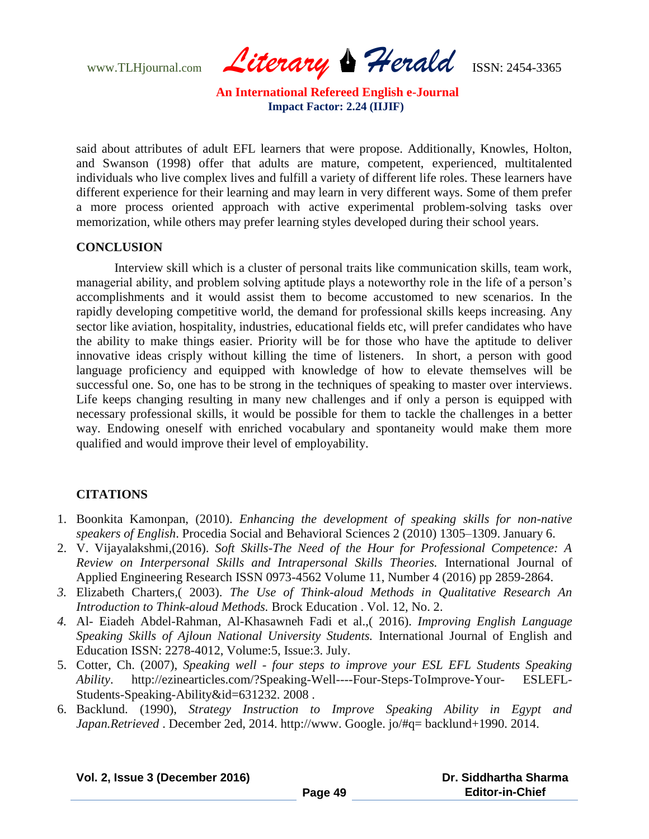www.TLHjournal.com *Literary Herald*ISSN: 2454-3365

said about attributes of adult EFL learners that were propose. Additionally, Knowles, Holton, and Swanson (1998) offer that adults are mature, competent, experienced, multitalented individuals who live complex lives and fulfill a variety of different life roles. These learners have different experience for their learning and may learn in very different ways. Some of them prefer a more process oriented approach with active experimental problem-solving tasks over memorization, while others may prefer learning styles developed during their school years.

#### **CONCLUSION**

Interview skill which is a cluster of personal traits like communication skills, team work, managerial ability, and problem solving aptitude plays a noteworthy role in the life of a person"s accomplishments and it would assist them to become accustomed to new scenarios. In the rapidly developing competitive world, the demand for professional skills keeps increasing. Any sector like aviation, hospitality, industries, educational fields etc, will prefer candidates who have the ability to make things easier. Priority will be for those who have the aptitude to deliver innovative ideas crisply without killing the time of listeners. In short, a person with good language proficiency and equipped with knowledge of how to elevate themselves will be successful one. So, one has to be strong in the techniques of speaking to master over interviews. Life keeps changing resulting in many new challenges and if only a person is equipped with necessary professional skills, it would be possible for them to tackle the challenges in a better way. Endowing oneself with enriched vocabulary and spontaneity would make them more qualified and would improve their level of employability.

# **CITATIONS**

- 1. Boonkita Kamonpan, (2010). *Enhancing the development of speaking skills for non-native speakers of English*. Procedia Social and Behavioral Sciences 2 (2010) 1305–1309. January 6.
- 2. V. Vijayalakshmi,(2016). *Soft Skills-The Need of the Hour for Professional Competence: A Review on Interpersonal Skills and Intrapersonal Skills Theories.* International Journal of Applied Engineering Research ISSN 0973-4562 Volume 11, Number 4 (2016) pp 2859-2864.
- *3.* Elizabeth Charters,( 2003). *The Use of Think-aloud Methods in Qualitative Research An Introduction to Think-aloud Methods.* Brock Education . Vol. 12, No. 2.
- *4.* Al- Eiadeh Abdel-Rahman, Al-Khasawneh Fadi et al.,( 2016). *Improving English Language Speaking Skills of Ajloun National University Students.* International Journal of English and Education ISSN: 2278-4012, Volume:5, Issue:3. July.
- 5. Cotter, Ch. (2007), *Speaking well - four steps to improve your ESL EFL Students Speaking Ability*. http://ezinearticles.com/?Speaking-Well----Four-Steps-ToImprove-Your- ESLEFL-Students-Speaking-Ability&id=631232. 2008 .
- 6. Backlund. (1990), *Strategy Instruction to Improve Speaking Ability in Egypt and Japan.Retrieved* . December 2ed, 2014. http://www. Google. jo/#q= backlund+1990. 2014.

**Vol. 2, Issue 3 (December 2016)**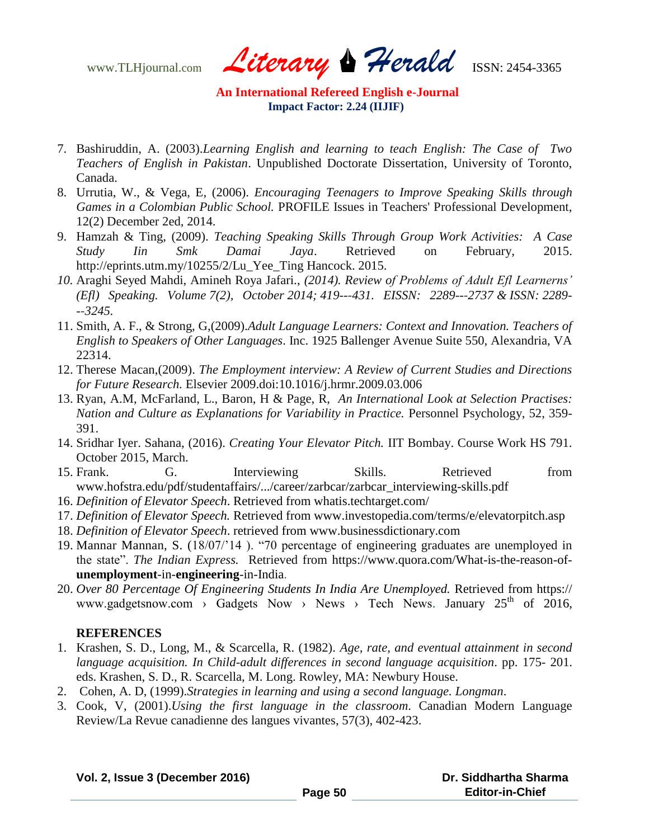www.TLHjournal.com *Literary Herald*ISSN: 2454-3365

- 7. Bashiruddin, A. (2003).*Learning English and learning to teach English: The Case of Two Teachers of English in Pakistan*. Unpublished Doctorate Dissertation, University of Toronto, Canada.
- 8. Urrutia, W., & Vega, E, (2006). *Encouraging Teenagers to Improve Speaking Skills through Games in a Colombian Public School.* PROFILE Issues in Teachers' Professional Development, 12(2) December 2ed, 2014.
- 9. Hamzah & Ting, (2009). *Teaching Speaking Skills Through Group Work Activities: A Case Study Iin Smk Damai Jaya*. Retrieved on February, 2015. http://eprints.utm.my/10255/2/Lu\_Yee\_Ting Hancock. 2015.
- *10.* Araghi Seyed Mahdi, Amineh Roya Jafari., *(2014). Review of Problems of Adult Efl Learnerns' (Efl) Speaking. Volume 7(2), October 2014; 419--‐431. EISSN: 2289--‐2737 & ISSN: 2289- -‐3245.*
- 11. Smith, A. F., & Strong, G,(2009).*Adult Language Learners: Context and Innovation. Teachers of English to Speakers of Other Languages*. Inc. 1925 Ballenger Avenue Suite 550, Alexandria, VA 22314.
- 12. Therese Macan,(2009). *The Employment interview: A Review of Current Studies and Directions for Future Research.* Elsevier 2009.doi:10.1016/j.hrmr.2009.03.006
- 13. Ryan, A.M, McFarland, L., Baron, H & Page, R, *An International Look at Selection Practises: Nation and Culture as Explanations for Variability in Practice.* Personnel Psychology, 52, 359- 391.
- 14. Sridhar Iyer. Sahana, (2016). *Creating Your Elevator Pitch.* IIT Bombay. Course Work HS 791. October 2015, March.
- 15. Frank. G. Interviewing Skills. Retrieved from www.hofstra.edu/pdf/studentaffairs/.../career/zarbcar/zarbcar\_interviewing-skills.pdf
- 16. *Definition of Elevator Speech*. Retrieved from whatis.techtarget.com/
- 17. *Definition of Elevator Speech.* Retrieved from www.investopedia.com/terms/e/elevatorpitch.asp
- 18. *Definition of Elevator Speech*. retrieved from www.businessdictionary.com
- 19. Mannar Mannan, S. (18/07/"14 ). "70 percentage of engineering graduates are unemployed in the state". *The Indian Express.* Retrieved from https://www.quora.com/What-is-the-reason-of**unemployment**-in-**engineering**-in-India.
- 20. *Over 80 Percentage Of Engineering Students In India Are Unemployed.* Retrieved from https:// www.gadgetsnow.com > Gadgets Now > News > Tech News. January  $25<sup>th</sup>$  of 2016,

# **REFERENCES**

- 1. Krashen, S. D., Long, M., & Scarcella, R. (1982). *Age, rate, and eventual attainment in second language acquisition. In Child-adult differences in second language acquisition*. pp. 175- 201. eds. Krashen, S. D., R. Scarcella, M. Long. Rowley, MA: Newbury House.
- 2. Cohen, A. D, (1999).*Strategies in learning and using a second language. Longman*.
- 3. Cook, V, (2001).*Using the first language in the classroom*. Canadian Modern Language Review/La Revue canadienne des langues vivantes, 57(3), 402-423.

|  |  |  |  | Vol. 2, Issue 3 (December 2016) |  |
|--|--|--|--|---------------------------------|--|
|--|--|--|--|---------------------------------|--|